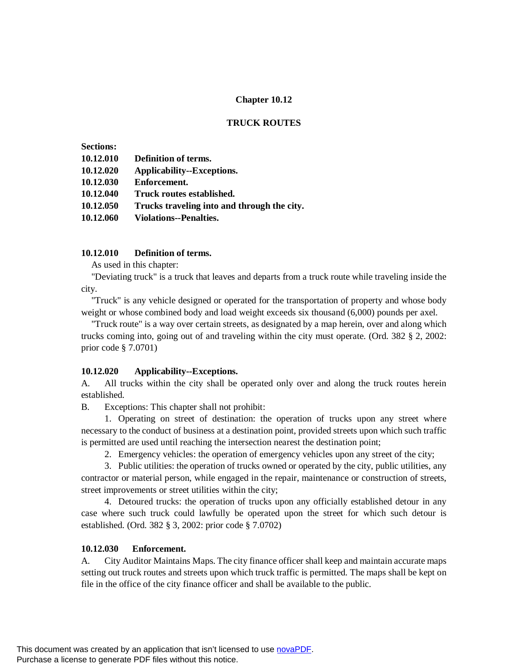## **Chapter 10.12**

### **TRUCK ROUTES**

| <b>Sections:</b> |                                             |
|------------------|---------------------------------------------|
| 10.12.010        | Definition of terms.                        |
| 10.12.020        | Applicability--Exceptions.                  |
| 10.12.030        | Enforcement.                                |
| 10.12.040        | Truck routes established.                   |
| 10.12.050        | Trucks traveling into and through the city. |
| 10.12.060        | <b>Violations--Penalties.</b>               |
|                  |                                             |

### **10.12.010 Definition of terms.**

As used in this chapter:

"Deviating truck" is a truck that leaves and departs from a truck route while traveling inside the city.

"Truck" is any vehicle designed or operated for the transportation of property and whose body weight or whose combined body and load weight exceeds six thousand (6,000) pounds per axel.

"Truck route" is a way over certain streets, as designated by a map herein, over and along which trucks coming into, going out of and traveling within the city must operate. (Ord. 382 § 2, 2002: prior code § 7.0701)

#### **10.12.020 Applicability--Exceptions.**

A. All trucks within the city shall be operated only over and along the truck routes herein established.

B. Exceptions: This chapter shall not prohibit:

1. Operating on street of destination: the operation of trucks upon any street where necessary to the conduct of business at a destination point, provided streets upon which such traffic is permitted are used until reaching the intersection nearest the destination point;

2. Emergency vehicles: the operation of emergency vehicles upon any street of the city;

3. Public utilities: the operation of trucks owned or operated by the city, public utilities, any contractor or material person, while engaged in the repair, maintenance or construction of streets, street improvements or street utilities within the city;

4. Detoured trucks: the operation of trucks upon any officially established detour in any case where such truck could lawfully be operated upon the street for which such detour is established. (Ord. 382 § 3, 2002: prior code § 7.0702)

### **10.12.030 Enforcement.**

A. City Auditor Maintains Maps. The city finance officer shall keep and maintain accurate maps setting out truck routes and streets upon which truck traffic is permitted. The maps shall be kept on file in the office of the city finance officer and shall be available to the public.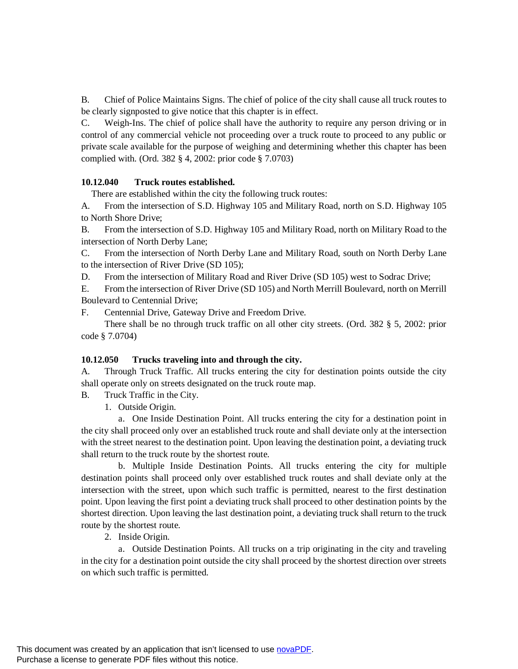B. Chief of Police Maintains Signs. The chief of police of the city shall cause all truck routes to be clearly signposted to give notice that this chapter is in effect.

C. Weigh-Ins. The chief of police shall have the authority to require any person driving or in control of any commercial vehicle not proceeding over a truck route to proceed to any public or private scale available for the purpose of weighing and determining whether this chapter has been complied with. (Ord. 382 § 4, 2002: prior code § 7.0703)

### **10.12.040 Truck routes established.**

There are established within the city the following truck routes:

A. From the intersection of S.D. Highway 105 and Military Road, north on S.D. Highway 105 to North Shore Drive;

B. From the intersection of S.D. Highway 105 and Military Road, north on Military Road to the intersection of North Derby Lane;

C. From the intersection of North Derby Lane and Military Road, south on North Derby Lane to the intersection of River Drive (SD 105);

D. From the intersection of Military Road and River Drive (SD 105) west to Sodrac Drive;

E. From the intersection of River Drive (SD 105) and North Merrill Boulevard, north on Merrill Boulevard to Centennial Drive;

F. Centennial Drive, Gateway Drive and Freedom Drive.

There shall be no through truck traffic on all other city streets. (Ord. 382 § 5, 2002: prior code § 7.0704)

# **10.12.050 Trucks traveling into and through the city.**

A. Through Truck Traffic. All trucks entering the city for destination points outside the city shall operate only on streets designated on the truck route map.

B. Truck Traffic in the City.

1. Outside Origin.

a. One Inside Destination Point. All trucks entering the city for a destination point in the city shall proceed only over an established truck route and shall deviate only at the intersection with the street nearest to the destination point. Upon leaving the destination point, a deviating truck shall return to the truck route by the shortest route.

b. Multiple Inside Destination Points. All trucks entering the city for multiple destination points shall proceed only over established truck routes and shall deviate only at the intersection with the street, upon which such traffic is permitted, nearest to the first destination point. Upon leaving the first point a deviating truck shall proceed to other destination points by the shortest direction. Upon leaving the last destination point, a deviating truck shall return to the truck route by the shortest route.

2. Inside Origin.

a. Outside Destination Points. All trucks on a trip originating in the city and traveling in the city for a destination point outside the city shall proceed by the shortest direction over streets on which such traffic is permitted.